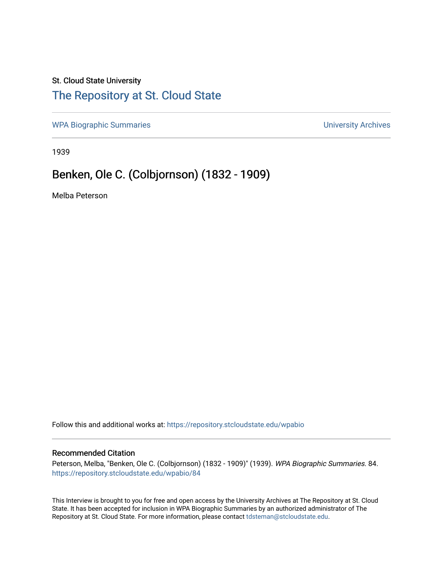## St. Cloud State University [The Repository at St. Cloud State](https://repository.stcloudstate.edu/)

[WPA Biographic Summaries](https://repository.stcloudstate.edu/wpabio) **WPA Biographic Summaries University Archives** 

1939

## Benken, Ole C. (Colbjornson) (1832 - 1909)

Melba Peterson

Follow this and additional works at: [https://repository.stcloudstate.edu/wpabio](https://repository.stcloudstate.edu/wpabio?utm_source=repository.stcloudstate.edu%2Fwpabio%2F84&utm_medium=PDF&utm_campaign=PDFCoverPages) 

## Recommended Citation

Peterson, Melba, "Benken, Ole C. (Colbjornson) (1832 - 1909)" (1939). WPA Biographic Summaries. 84. [https://repository.stcloudstate.edu/wpabio/84](https://repository.stcloudstate.edu/wpabio/84?utm_source=repository.stcloudstate.edu%2Fwpabio%2F84&utm_medium=PDF&utm_campaign=PDFCoverPages)

This Interview is brought to you for free and open access by the University Archives at The Repository at St. Cloud State. It has been accepted for inclusion in WPA Biographic Summaries by an authorized administrator of The Repository at St. Cloud State. For more information, please contact [tdsteman@stcloudstate.edu.](mailto:tdsteman@stcloudstate.edu)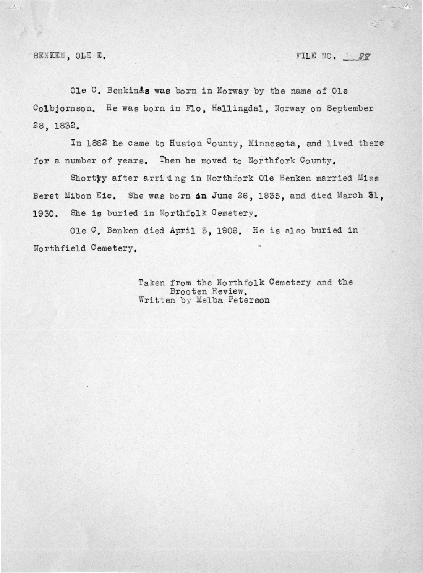BENKEN, OLE E.

FILE NO. 38

 $-1.1$ 

Ole C. Benkinds was born in Norway by the name of Ole Colbjornson. He was born in Flo, Hallingdal, Norway on September 28, 1832.

In 1862 he came to Huston County, Minnesota, and lived there for a number of years. Then he moved to Northfork County.

Shorty after arriving in Northfork Ole Benken married Miss Beret Mibon Eie. She was born on June 26, 1835, and died March 31, 1930. She is buried in Northfolk Cemetery.

Ole C. Benken died April 5, 1909. He is also buried in Northfield Cemetery.

> Taken from the Northfolk Cemetery and the Brooten Review. Written by Melba Peterson